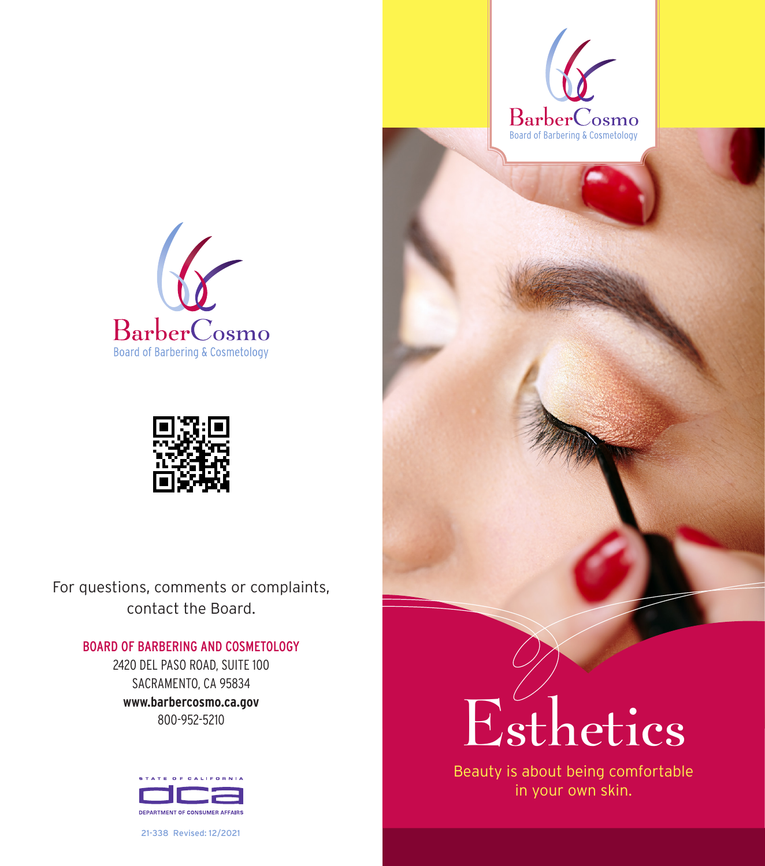





For questions, comments or complaints, contact the Board.

## BOARD OF BARBERING AND COSMETOLOGY

2420 DEL PASO ROAD, SUITE 100 SACRAMENTO, CA 95834 **www.barbercosmo.ca.gov** 800-952-5210



21-338 Revised: 12/2021

## Esthetics

Beauty is about being comfortable in your own skin.